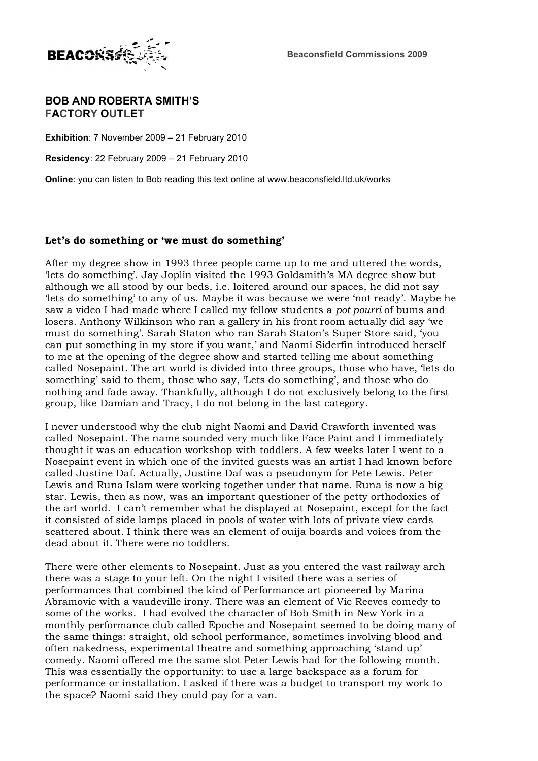

## **BOB AND ROBERTA SMITH'S FACTORY OUTLET**

**Exhibition**: 7 November 2009 – 21 February 2010

**Residency**: 22 February 2009 – 21 February 2010

**Online**: you can listen to Bob reading this text online at www.beaconsfield.ltd.uk/works

## **Let's do something or 'we must do something'**

After my degree show in 1993 three people came up to me and uttered the words, 'lets do something'. Jay Joplin visited the 1993 Goldsmith's MA degree show but although we all stood by our beds, i.e. loitered around our spaces, he did not say 'lets do something' to any of us. Maybe it was because we were 'not ready'. Maybe he saw a video I had made where I called my fellow students a *pot pourri* of bums and losers. Anthony Wilkinson who ran a gallery in his front room actually did say 'we must do something'. Sarah Staton who ran Sarah Staton's Super Store said, 'you can put something in my store if you want,' and Naomi Siderfin introduced herself to me at the opening of the degree show and started telling me about something called Nosepaint. The art world is divided into three groups, those who have, 'lets do something' said to them, those who say, 'Lets do something', and those who do nothing and fade away. Thankfully, although I do not exclusively belong to the first group, like Damian and Tracy, I do not belong in the last category.

I never understood why the club night Naomi and David Crawforth invented was called Nosepaint. The name sounded very much like Face Paint and I immediately thought it was an education workshop with toddlers. A few weeks later I went to a Nosepaint event in which one of the invited guests was an artist I had known before called Justine Daf. Actually, Justine Daf was a pseudonym for Pete Lewis. Peter Lewis and Runa Islam were working together under that name. Runa is now a big star. Lewis, then as now, was an important questioner of the petty orthodoxies of the art world. I can't remember what he displayed at Nosepaint, except for the fact it consisted of side lamps placed in pools of water with lots of private view cards scattered about. I think there was an element of ouija boards and voices from the dead about it. There were no toddlers.

There were other elements to Nosepaint. Just as you entered the vast railway arch there was a stage to your left. On the night I visited there was a series of performances that combined the kind of Performance art pioneered by Marina Abramovic with a vaudeville irony. There was an element of Vic Reeves comedy to some of the works. I had evolved the character of Bob Smith in New York in a monthly performance club called Epoche and Nosepaint seemed to be doing many of the same things: straight, old school performance, sometimes involving blood and often nakedness, experimental theatre and something approaching 'stand up' comedy. Naomi offered me the same slot Peter Lewis had for the following month. This was essentially the opportunity: to use a large backspace as a forum for performance or installation. I asked if there was a budget to transport my work to the space? Naomi said they could pay for a van.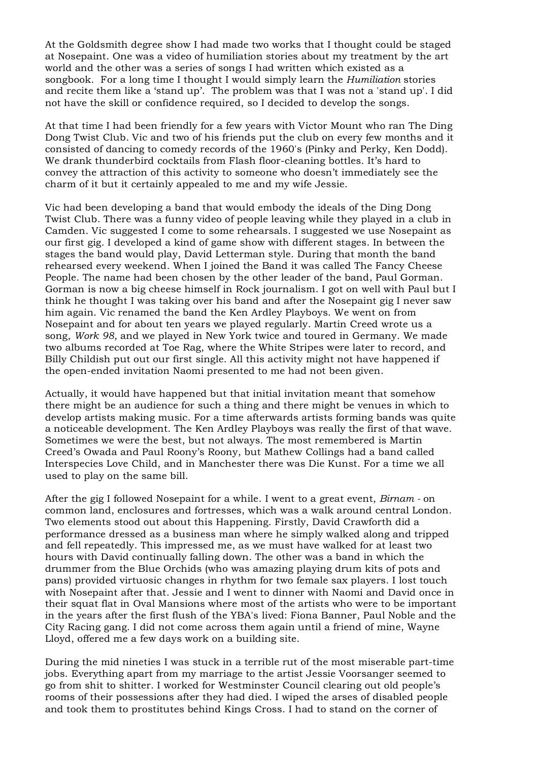At the Goldsmith degree show I had made two works that I thought could be staged at Nosepaint. One was a video of humiliation stories about my treatment by the art world and the other was a series of songs I had written which existed as a songbook. For a long time I thought I would simply learn the *Humiliation* stories and recite them like a 'stand up'. The problem was that I was not a 'stand up'. I did not have the skill or confidence required, so I decided to develop the songs.

At that time I had been friendly for a few years with Victor Mount who ran The Ding Dong Twist Club. Vic and two of his friends put the club on every few months and it consisted of dancing to comedy records of the 1960's (Pinky and Perky, Ken Dodd). We drank thunderbird cocktails from Flash floor-cleaning bottles. It's hard to convey the attraction of this activity to someone who doesn't immediately see the charm of it but it certainly appealed to me and my wife Jessie.

Vic had been developing a band that would embody the ideals of the Ding Dong Twist Club. There was a funny video of people leaving while they played in a club in Camden. Vic suggested I come to some rehearsals. I suggested we use Nosepaint as our first gig. I developed a kind of game show with different stages. In between the stages the band would play, David Letterman style. During that month the band rehearsed every weekend. When I joined the Band it was called The Fancy Cheese People. The name had been chosen by the other leader of the band, Paul Gorman. Gorman is now a big cheese himself in Rock journalism. I got on well with Paul but I think he thought I was taking over his band and after the Nosepaint gig I never saw him again. Vic renamed the band the Ken Ardley Playboys. We went on from Nosepaint and for about ten years we played regularly. Martin Creed wrote us a song, *Work 98,* and we played in New York twice and toured in Germany. We made two albums recorded at Toe Rag, where the White Stripes were later to record, and Billy Childish put out our first single. All this activity might not have happened if the open-ended invitation Naomi presented to me had not been given.

Actually, it would have happened but that initial invitation meant that somehow there might be an audience for such a thing and there might be venues in which to develop artists making music. For a time afterwards artists forming bands was quite a noticeable development. The Ken Ardley Playboys was really the first of that wave. Sometimes we were the best, but not always. The most remembered is Martin Creed's Owada and Paul Roony's Roony, but Mathew Collings had a band called Interspecies Love Child, and in Manchester there was Die Kunst. For a time we all used to play on the same bill.

After the gig I followed Nosepaint for a while. I went to a great event, *Birnam -* on common land, enclosures and fortresses, which was a walk around central London. Two elements stood out about this Happening. Firstly, David Crawforth did a performance dressed as a business man where he simply walked along and tripped and fell repeatedly. This impressed me, as we must have walked for at least two hours with David continually falling down. The other was a band in which the drummer from the Blue Orchids (who was amazing playing drum kits of pots and pans) provided virtuosic changes in rhythm for two female sax players. I lost touch with Nosepaint after that. Jessie and I went to dinner with Naomi and David once in their squat flat in Oval Mansions where most of the artists who were to be important in the years after the first flush of the YBA's lived: Fiona Banner, Paul Noble and the City Racing gang. I did not come across them again until a friend of mine, Wayne Lloyd, offered me a few days work on a building site.

During the mid nineties I was stuck in a terrible rut of the most miserable part-time jobs. Everything apart from my marriage to the artist Jessie Voorsanger seemed to go from shit to shitter. I worked for Westminster Council clearing out old people's rooms of their possessions after they had died. I wiped the arses of disabled people and took them to prostitutes behind Kings Cross. I had to stand on the corner of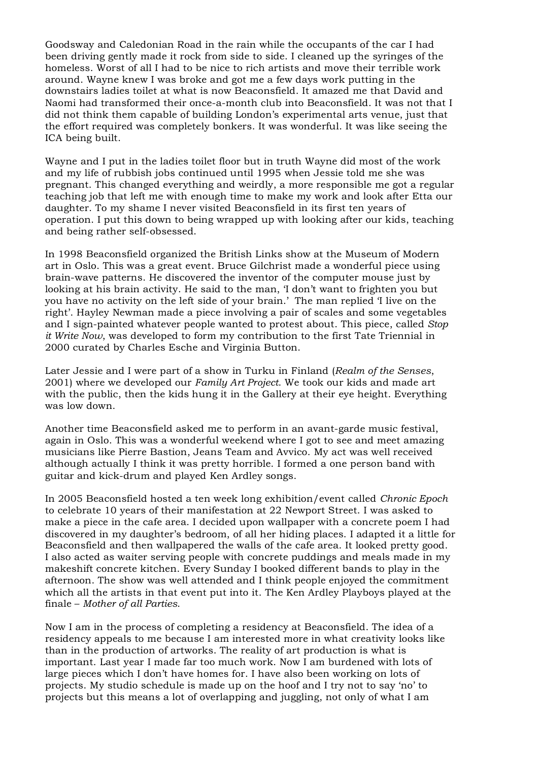Goodsway and Caledonian Road in the rain while the occupants of the car I had been driving gently made it rock from side to side. I cleaned up the syringes of the homeless. Worst of all I had to be nice to rich artists and move their terrible work around. Wayne knew I was broke and got me a few days work putting in the downstairs ladies toilet at what is now Beaconsfield. It amazed me that David and Naomi had transformed their once-a-month club into Beaconsfield. It was not that I did not think them capable of building London's experimental arts venue, just that the effort required was completely bonkers. It was wonderful. It was like seeing the ICA being built.

Wayne and I put in the ladies toilet floor but in truth Wayne did most of the work and my life of rubbish jobs continued until 1995 when Jessie told me she was pregnant. This changed everything and weirdly, a more responsible me got a regular teaching job that left me with enough time to make my work and look after Etta our daughter. To my shame I never visited Beaconsfield in its first ten years of operation. I put this down to being wrapped up with looking after our kids, teaching and being rather self-obsessed.

In 1998 Beaconsfield organized the British Links show at the Museum of Modern art in Oslo. This was a great event. Bruce Gilchrist made a wonderful piece using brain-wave patterns. He discovered the inventor of the computer mouse just by looking at his brain activity. He said to the man, 'I don't want to frighten you but you have no activity on the left side of your brain.' The man replied 'I live on the right'. Hayley Newman made a piece involving a pair of scales and some vegetables and I sign-painted whatever people wanted to protest about. This piece, called *Stop it Write Now*, was developed to form my contribution to the first Tate Triennial in 2000 curated by Charles Esche and Virginia Button.

Later Jessie and I were part of a show in Turku in Finland (*Realm of the Senses*, 2001) where we developed our *Family Art Project*. We took our kids and made art with the public, then the kids hung it in the Gallery at their eye height. Everything was low down.

Another time Beaconsfield asked me to perform in an avant-garde music festival, again in Oslo. This was a wonderful weekend where I got to see and meet amazing musicians like Pierre Bastion, Jeans Team and Avvico. My act was well received although actually I think it was pretty horrible. I formed a one person band with guitar and kick-drum and played Ken Ardley songs.

In 2005 Beaconsfield hosted a ten week long exhibition/event called *Chronic Epoch* to celebrate 10 years of their manifestation at 22 Newport Street. I was asked to make a piece in the cafe area. I decided upon wallpaper with a concrete poem I had discovered in my daughter's bedroom, of all her hiding places. I adapted it a little for Beaconsfield and then wallpapered the walls of the cafe area. It looked pretty good. I also acted as waiter serving people with concrete puddings and meals made in my makeshift concrete kitchen. Every Sunday I booked different bands to play in the afternoon. The show was well attended and I think people enjoyed the commitment which all the artists in that event put into it. The Ken Ardley Playboys played at the finale – *Mother of all Parties*.

Now I am in the process of completing a residency at Beaconsfield. The idea of a residency appeals to me because I am interested more in what creativity looks like than in the production of artworks. The reality of art production is what is important. Last year I made far too much work. Now I am burdened with lots of large pieces which I don't have homes for. I have also been working on lots of projects. My studio schedule is made up on the hoof and I try not to say 'no' to projects but this means a lot of overlapping and juggling, not only of what I am